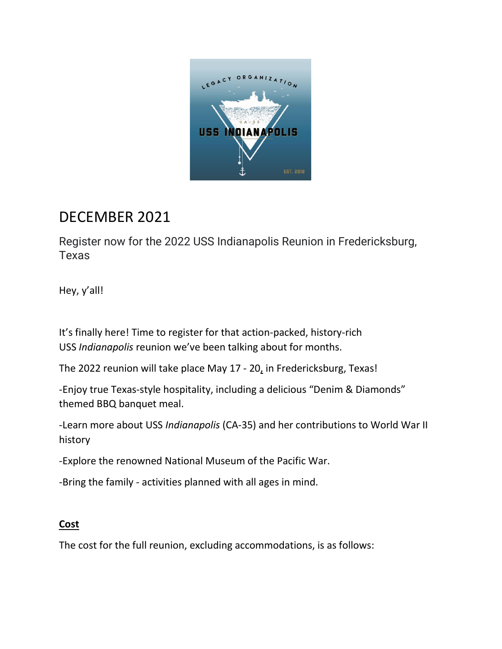

## DECEMBER 2021

Register now for the 2022 USS Indianapolis Reunion in Fredericksburg, Texas

Hey, y'all!

It's finally here! Time to register for that action-packed, history-rich USS *Indianapolis* reunion we've been talking about for months.

The 2022 reunion will take place May 17 - 20, in Fredericksburg, Texas!

-Enjoy true Texas-style hospitality, including a delicious "Denim & Diamonds" themed BBQ banquet meal.

-Learn more about USS *Indianapolis* (CA-35) and her contributions to World War II history

-Explore the renowned National Museum of the Pacific War.

-Bring the family - activities planned with all ages in mind.

## **Cost**

The cost for the full reunion, excluding accommodations, is as follows: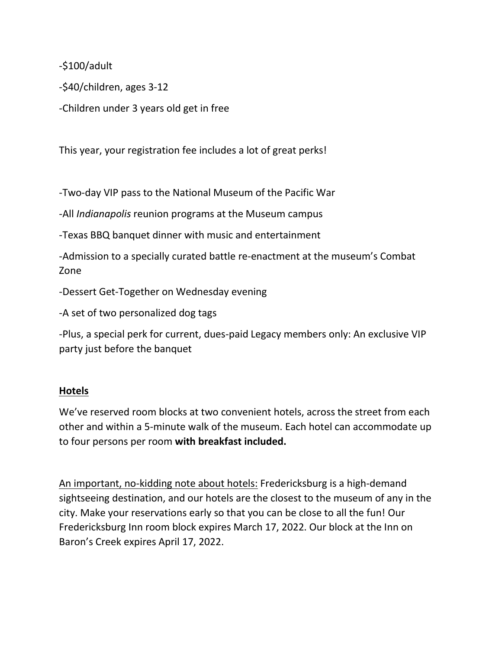-\$100/adult

-\$40/children, ages 3-12

-Children under 3 years old get in free

This year, your registration fee includes a lot of great perks!

-Two-day VIP pass to the National Museum of the Pacific War

-All *Indianapolis* reunion programs at the Museum campus

-Texas BBQ banquet dinner with music and entertainment

-Admission to a specially curated battle re-enactment at the museum's Combat Zone

-Dessert Get-Together on Wednesday evening

-A set of two personalized dog tags

-Plus, a special perk for current, dues-paid Legacy members only: An exclusive VIP party just before the banquet

## **Hotels**

We've reserved room blocks at two convenient hotels, across the street from each other and within a 5-minute walk of the museum. Each hotel can accommodate up to four persons per room **with breakfast included.**

An important, no-kidding note about hotels: Fredericksburg is a high-demand sightseeing destination, and our hotels are the closest to the museum of any in the city. Make your reservations early so that you can be close to all the fun! Our Fredericksburg Inn room block expires March 17, 2022. Our block at the Inn on Baron's Creek expires April 17, 2022.